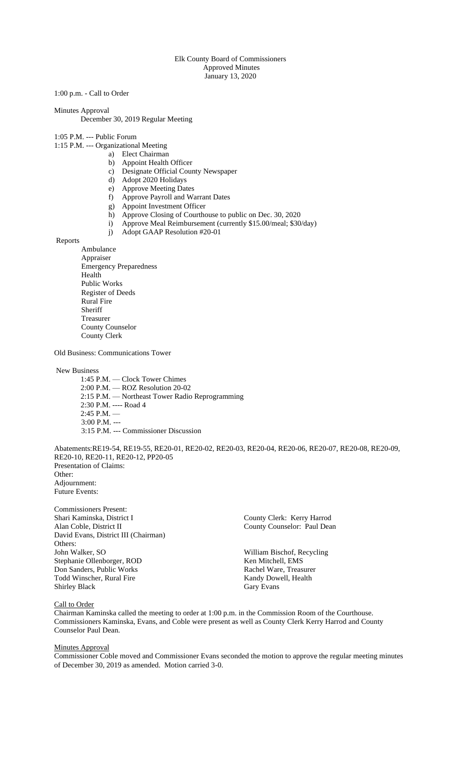### Elk County Board of Commissioners Approved Minutes January 13, 2020

1:00 p.m. - Call to Order

Minutes Approval

December 30, 2019 Regular Meeting

- 1:05 P.M. --- Public Forum
- 1:15 P.M. --- Organizational Meeting
	- a) Elect Chairman
		- b) Appoint Health Officer
		- c) Designate Official County Newspaper
		- d) Adopt 2020 Holidays
		- e) Approve Meeting Dates
		- f) Approve Payroll and Warrant Dates
		- g) Appoint Investment Officer
		- h) Approve Closing of Courthouse to public on Dec. 30, 2020
		- i) Approve Meal Reimbursement (currently \$15.00/meal; \$30/day)
		- j) Adopt GAAP Resolution #20-01

Reports

Ambulance Appraiser Emergency Preparedness Health Public Works Register of Deeds Rural Fire Sheriff Treasurer County Counselor County Clerk

Old Business: Communications Tower

New Business

 1:45 P.M. — Clock Tower Chimes 2:00 P.M. — ROZ Resolution 20-02 2:15 P.M. — Northeast Tower Radio Reprogramming 2:30 P.M. ---- Road 4  $2:45$  P.M.  $-$ 3:00 P.M. --- 3:15 P.M. --- Commissioner Discussion

Abatements:RE19-54, RE19-55, RE20-01, RE20-02, RE20-03, RE20-04, RE20-06, RE20-07, RE20-08, RE20-09, RE20-10, RE20-11, RE20-12, PP20-05 Presentation of Claims: Other: Adjournment: Future Events:

Commissioners Present: Shari Kaminska, District I County Clerk: Kerry Harrod Alan Coble, District II County Counselor: Paul Dean David Evans, District III (Chairman) Others:<br>John Walker, SO Stephanie Ollenborger, ROD Ken Mitchell, EMS<br>
Don Sanders, Public Works Kachel Ware, Treasurer Don Sanders, Public Works Rachel Ware, Treasurer<br>
Todd Winscher, Rural Fire Kandy Dowell, Health Todd Winscher, Rural Fire Kandy Dow<br>
Shirley Black Gary Evans Shirley Black

William Bischof, Recycling

Call to Order

Chairman Kaminska called the meeting to order at 1:00 p.m. in the Commission Room of the Courthouse. Commissioners Kaminska, Evans, and Coble were present as well as County Clerk Kerry Harrod and County Counselor Paul Dean.

## Minutes Approval

Commissioner Coble moved and Commissioner Evans seconded the motion to approve the regular meeting minutes of December 30, 2019 as amended. Motion carried 3-0.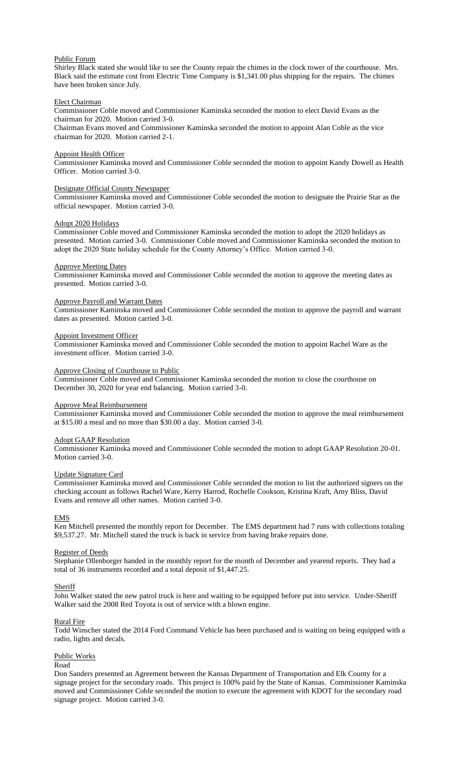### Public Forum

Shirley Black stated she would like to see the County repair the chimes in the clock tower of the courthouse. Mrs. Black said the estimate cost from Electric Time Company is \$1,341.00 plus shipping for the repairs. The chimes have been broken since July.

## Elect Chairman

Commissioner Coble moved and Commissioner Kaminska seconded the motion to elect David Evans as the chairman for 2020. Motion carried 3-0.

Chairman Evans moved and Commissioner Kaminska seconded the motion to appoint Alan Coble as the vice chairman for 2020. Motion carried 2-1.

#### Appoint Health Officer

Commissioner Kaminska moved and Commissioner Coble seconded the motion to appoint Kandy Dowell as Health Officer. Motion carried 3-0.

#### Designate Official County Newspaper

Commissioner Kaminska moved and Commissioner Coble seconded the motion to designate the Prairie Star as the official newspaper. Motion carried 3-0.

### Adopt 2020 Holidays

Commissioner Coble moved and Commissioner Kaminska seconded the motion to adopt the 2020 holidays as presented. Motion carried 3-0. Commissioner Coble moved and Commissioner Kaminska seconded the motion to adopt the 2020 State holiday schedule for the County Attorney's Office. Motion carried 3-0.

### Approve Meeting Dates

Commissioner Kaminska moved and Commissioner Coble seconded the motion to approve the meeting dates as presented. Motion carried 3-0.

## Approve Payroll and Warrant Dates

Commissioner Kaminska moved and Commissioner Coble seconded the motion to approve the payroll and warrant dates as presented. Motion carried 3-0.

### Appoint Investment Officer

Commissioner Kaminska moved and Commissioner Coble seconded the motion to appoint Rachel Ware as the investment officer. Motion carried 3-0.

## Approve Closing of Courthouse to Public

Commissioner Coble moved and Commissioner Kaminska seconded the motion to close the courthouse on December 30, 2020 for year end balancing. Motion carried 3-0.

## Approve Meal Reimbursement

Commissioner Kaminska moved and Commissioner Coble seconded the motion to approve the meal reimbursement at \$15.00 a meal and no more than \$30.00 a day. Motion carried 3-0.

#### Adopt GAAP Resolution

Commissioner Kaminska moved and Commissioner Coble seconded the motion to adopt GAAP Resolution 20-01. Motion carried 3-0.

## Update Signature Card

Commissioner Kaminska moved and Commissioner Coble seconded the motion to list the authorized signers on the checking account as follows Rachel Ware, Kerry Harrod, Rochelle Cookson, Kristina Kraft, Amy Bliss, David Evans and remove all other names. Motion carried 3-0.

## EMS

Ken Mitchell presented the monthly report for December. The EMS department had 7 runs with collections totaling \$9,537.27. Mr. Mitchell stated the truck is back in service from having brake repairs done.

## Register of Deeds

Stephanie Ollenborger handed in the monthly report for the month of December and yearend reports. They had a total of 36 instruments recorded and a total deposit of \$1,447.25.

## Sheriff

John Walker stated the new patrol truck is here and waiting to be equipped before put into service. Under-Sheriff Walker said the 2008 Red Toyota is out of service with a blown engine.

## Rural Fire

Todd Winscher stated the 2014 Ford Command Vehicle has been purchased and is waiting on being equipped with a radio, lights and decals.

## Public Works

#### Road

Don Sanders presented an Agreement between the Kansas Department of Transportation and Elk County for a signage project for the secondary roads. This project is 100% paid by the State of Kansas. Commissioner Kaminska moved and Commissioner Coble seconded the motion to execute the agreement with KDOT for the secondary road signage project. Motion carried 3-0.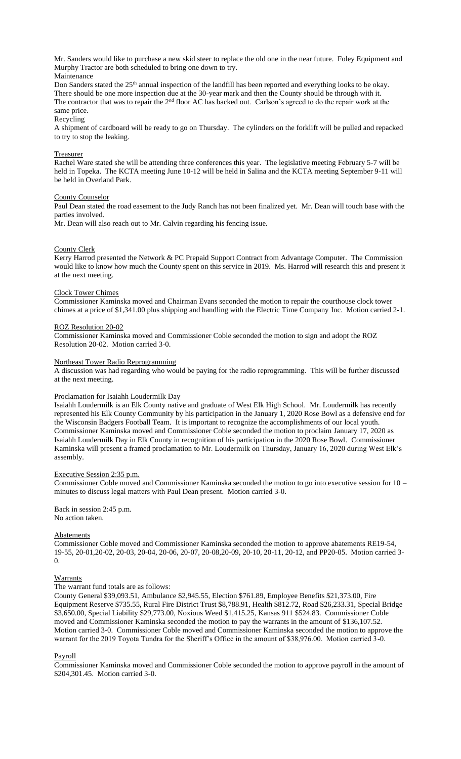Mr. Sanders would like to purchase a new skid steer to replace the old one in the near future. Foley Equipment and Murphy Tractor are both scheduled to bring one down to try. Maintenance

Don Sanders stated the 25<sup>th</sup> annual inspection of the landfill has been reported and everything looks to be okay. There should be one more inspection due at the 30-year mark and then the County should be through with it. The contractor that was to repair the 2<sup>nd</sup> floor AC has backed out. Carlson's agreed to do the repair work at the same price.

Recycling

A shipment of cardboard will be ready to go on Thursday. The cylinders on the forklift will be pulled and repacked to try to stop the leaking.

#### **Treasurer**

Rachel Ware stated she will be attending three conferences this year. The legislative meeting February 5-7 will be held in Topeka. The KCTA meeting June 10-12 will be held in Salina and the KCTA meeting September 9-11 will be held in Overland Park.

### County Counselor

Paul Dean stated the road easement to the Judy Ranch has not been finalized yet. Mr. Dean will touch base with the parties involved.

Mr. Dean will also reach out to Mr. Calvin regarding his fencing issue.

#### County Clerk

Kerry Harrod presented the Network & PC Prepaid Support Contract from Advantage Computer. The Commission would like to know how much the County spent on this service in 2019. Ms. Harrod will research this and present it at the next meeting.

#### Clock Tower Chimes

Commissioner Kaminska moved and Chairman Evans seconded the motion to repair the courthouse clock tower chimes at a price of \$1,341.00 plus shipping and handling with the Electric Time Company Inc. Motion carried 2-1.

### ROZ Resolution 20-02

Commissioner Kaminska moved and Commissioner Coble seconded the motion to sign and adopt the ROZ Resolution 20-02. Motion carried 3-0.

#### Northeast Tower Radio Reprogramming

A discussion was had regarding who would be paying for the radio reprogramming. This will be further discussed at the next meeting.

### Proclamation for Isaiahh Loudermilk Day

Isaiahh Loudermilk is an Elk County native and graduate of West Elk High School. Mr. Loudermilk has recently represented his Elk County Community by his participation in the January 1, 2020 Rose Bowl as a defensive end for the Wisconsin Badgers Football Team. It is important to recognize the accomplishments of our local youth. Commissioner Kaminska moved and Commissioner Coble seconded the motion to proclaim January 17, 2020 as Isaiahh Loudermilk Day in Elk County in recognition of his participation in the 2020 Rose Bowl. Commissioner Kaminska will present a framed proclamation to Mr. Loudermilk on Thursday, January 16, 2020 during West Elk's assembly.

#### Executive Session 2:35 p.m.

Commissioner Coble moved and Commissioner Kaminska seconded the motion to go into executive session for 10 – minutes to discuss legal matters with Paul Dean present. Motion carried 3-0.

Back in session 2:45 p.m. No action taken.

### **Abatements**

Commissioner Coble moved and Commissioner Kaminska seconded the motion to approve abatements RE19-54, 19-55, 20-01,20-02, 20-03, 20-04, 20-06, 20-07, 20-08,20-09, 20-10, 20-11, 20-12, and PP20-05. Motion carried 3-  $\overline{0}$ .

#### Warrants

## The warrant fund totals are as follows:

County General \$39,093.51, Ambulance \$2,945.55, Election \$761.89, Employee Benefits \$21,373.00, Fire Equipment Reserve \$735.55, Rural Fire District Trust \$8,788.91, Health \$812.72, Road \$26,233.31, Special Bridge \$3,650.00, Special Liability \$29,773.00, Noxious Weed \$1,415.25, Kansas 911 \$524.83. Commissioner Coble moved and Commissioner Kaminska seconded the motion to pay the warrants in the amount of \$136,107.52. Motion carried 3-0. Commissioner Coble moved and Commissioner Kaminska seconded the motion to approve the warrant for the 2019 Toyota Tundra for the Sheriff's Office in the amount of \$38,976.00. Motion carried 3-0.

#### Payroll

Commissioner Kaminska moved and Commissioner Coble seconded the motion to approve payroll in the amount of \$204,301.45. Motion carried 3-0.